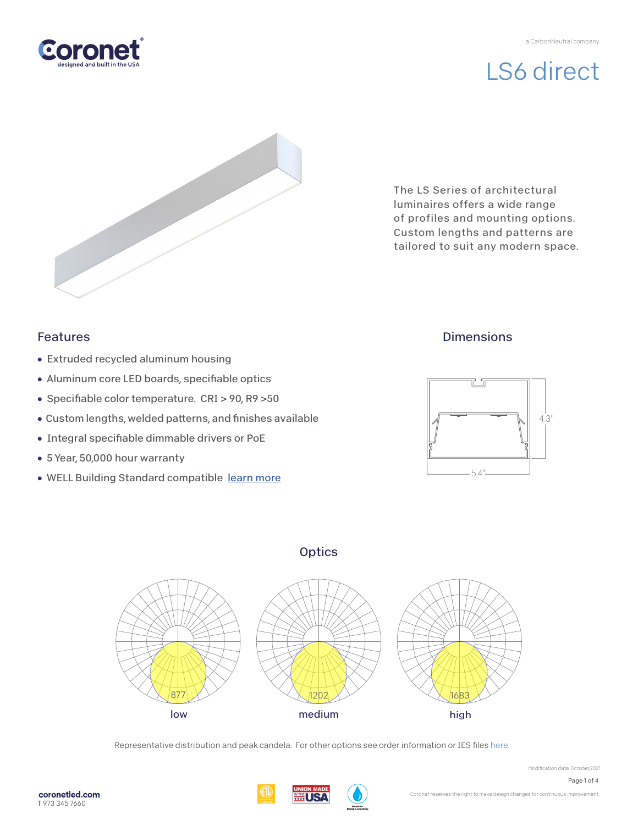## LS6 direct



The LS Series of architectural luminaires offers a wide range of profiles and mounting options. Custom lengths and patterns are tailored to suit any modern space.

### Features

- Extruded recycled aluminum housing
- Aluminum core LED boards, specifiable optics
- Specifiable color temperature. CRI > 90, R9 > 50
- Custom lengths, welded patterns, and finishes available
- Integral specifiable dimmable drivers or PoE
- 5 Year, 50,000 hour warranty
- WELL Building Standard compatible [learn more](https://coronetled.com/well-v2-standard/)

### **Dimensions**



### **Optics**



Representative distribution and peak candela. For other options see order information or IES file[s here.](https://coronetled.com/downloads/)



Modification date: October,2021

Page 1 of 4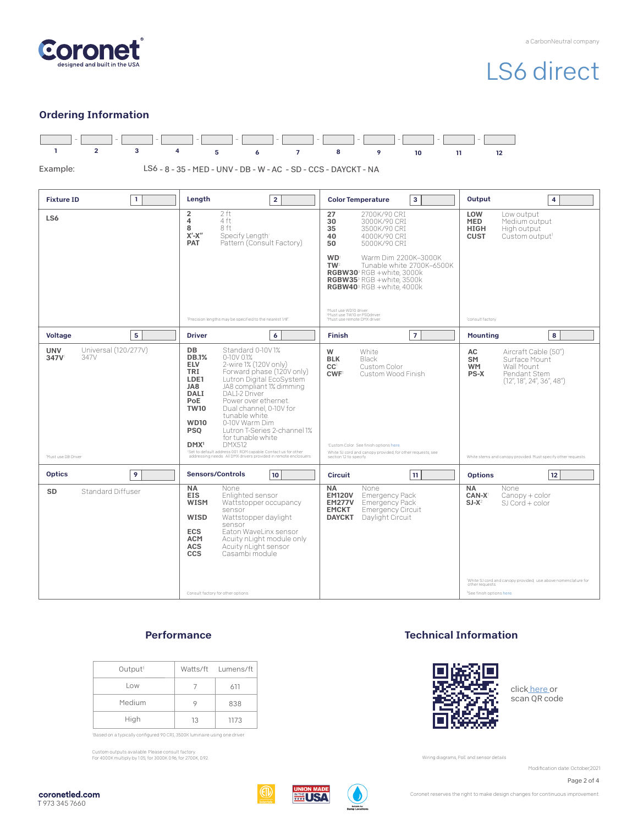

# LS6 direct

#### Ordering Information



#### **Performance**

| Output <sup>1</sup> |    | Watts/ft Lumens/ft |
|---------------------|----|--------------------|
| Low                 |    | 611                |
| Medium              |    | 838                |
| High                | 13 | 1173               |

Based on a typically configured 90 CRI, 3500K luminaire using one driver.

Custom outputs available. Please consult factory. For 4000K multiply by 1.05; for 3000K 0.96; for 2700K, 0.92.

#### Technical Information



clic[k here o](https://coronetled.com/warranty-technical-info/)r scan QR code

Wiring diagrams, PoE and sensor details

Modification date: October,2021

Page 2 of 4







Coronet reserves the right to make design changes for continuous improvement.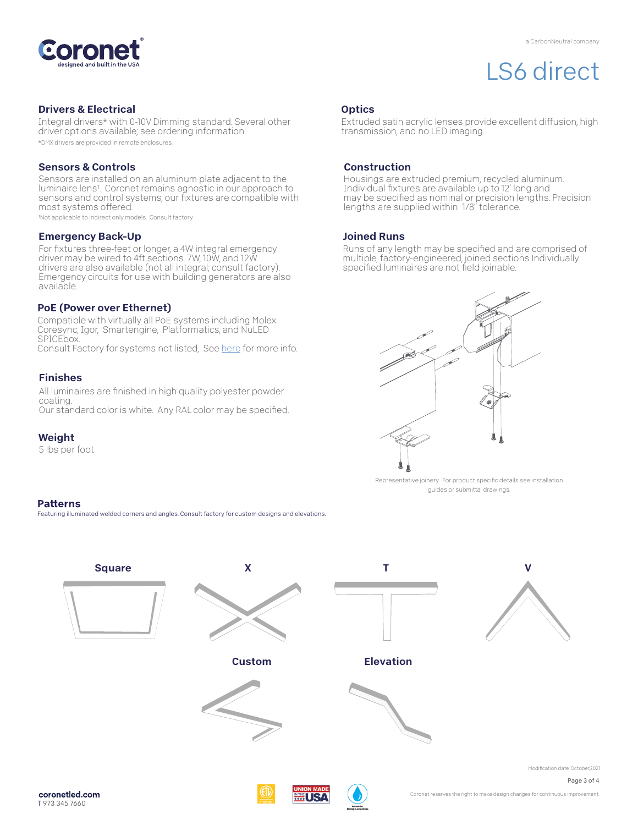

## LS6 direct

#### Drivers & Electrical

Integral drivers\* with 0-10V Dimming standard. Several other driver options available; see ordering information. \*DMX drivers are provided in remote enclosures.

#### Sensors & Controls

Sensors are installed on an aluminum plate adjacent to the luminaire lens1. Coronet remains agnostic in our approach to sensors and control systems; our fixtures are compatible with most systems offered.

1Not applicable to indirect only models. Consult factory.

#### Emergency Back-Up

For fixtures three-feet or longer, a 4W integral emergency driver may be wired to 4ft sections. 7W, 10W, and 12W drivers are also available (not all integral; consult factory). Emergency circuits for use with building generators are also available.

#### PoE (Power over Ethernet)

Compatible with virtually all PoE systems including Molex Coresync, Igor, Smartengine, Platformatics, and NuLED SPICEbox. Consult Factory for systems not listed, See [here f](https://coronetled.com/warranty-technical-info/)or more info.

#### Finishes

All luminaires are finished in high quality polyester powder coating. Our standard color is white. Any RAL color may be specified.

Featuring illuminated welded corners and angles. Consult factory for custom designs and elevations

#### Weight

**Patterns** 

5 lbs per foot

#### **Optics**

Extruded satin acrylic lenses provide excellent diffusion, high transmission, and no LED imaging.

#### Construction

Housings are extruded premium, recycled aluminum. Individual fixtures are available up to 12' long and may be specified as nominal or precision lengths. Precision lengths are supplied within 1/8" tolerance.

#### Joined Runs

Runs of any length may be specified and are comprised of multiple, factory-engineered, joined sections. Individually specified luminaires are not field joinable.



Representative joinery. For product specific details see installation guides or submittal drawings.



coronet led.com T 973 345 7660

**ELUSA** 

Coronet reserves the right to make design changes for continuous improvement.

Page 3 of 4